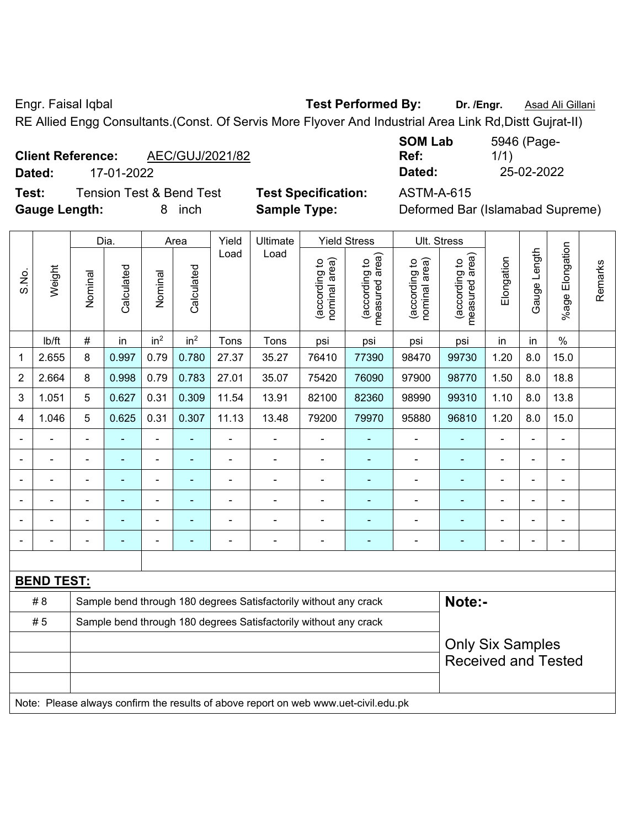Engr. Faisal Iqbal **Test Performed By: Dr. /Engr.** Asad Ali Gillani

RE Allied Engg Consultants.(Const. Of Servis More Flyover And Industrial Area Link Rd,Distt Gujrat-II)

# **Client Reference:** AEC/GUJ/2021/82

**Dated:** 17-01-2022 **Dated:** 25-02-2022

**Test:** Tension Test & Bend Test **Test Specification:** ASTM-A-615 **Gauge Length:** 8 inch **Sample Type:** Deformed Bar (Islamabad Supreme)

| <b>SOM Lab</b> | 5946 (Page- |
|----------------|-------------|
| Ref:           | 1/1)        |
| Dated:         | 25-02-2022  |

|                |                   |                                                                  | Dia.           |                 | Area            | Yield | Ultimate                                                                            |                                | <b>Yield Stress</b>             |                                | Ult. Stress                     |                |                |                      |         |
|----------------|-------------------|------------------------------------------------------------------|----------------|-----------------|-----------------|-------|-------------------------------------------------------------------------------------|--------------------------------|---------------------------------|--------------------------------|---------------------------------|----------------|----------------|----------------------|---------|
| S.No.          | Weight            | Nominal                                                          | Calculated     | Nominal         | Calculated      | Load  | Load                                                                                | nominal area)<br>(according to | measured area)<br>(according to | nominal area)<br>(according to | measured area)<br>(according to | Elongation     | Gauge Length   | Elongation<br>%age I | Remarks |
|                | Ib/ft             | #                                                                | in             | in <sup>2</sup> | in <sup>2</sup> | Tons  | Tons                                                                                | psi                            | psi                             | psi                            | psi                             | in             | in             | $\%$                 |         |
| 1              | 2.655             | 8                                                                | 0.997          | 0.79            | 0.780           | 27.37 | 35.27                                                                               | 76410                          | 77390                           | 98470                          | 99730                           | 1.20           | 8.0            | 15.0                 |         |
| $\overline{2}$ | 2.664             | 8                                                                | 0.998          | 0.79            | 0.783           | 27.01 | 35.07                                                                               | 75420                          | 76090                           | 97900                          | 98770                           | 1.50           | 8.0            | 18.8                 |         |
| 3              | 1.051             | 5                                                                | 0.627          | 0.31            | 0.309           | 11.54 | 13.91                                                                               | 82100                          | 82360                           | 98990                          | 99310                           | 1.10           | 8.0            | 13.8                 |         |
| 4              | 1.046             | 5                                                                | 0.625          | 0.31            | 0.307           | 11.13 | 13.48                                                                               | 79200                          | 79970                           | 95880                          | 96810                           | 1.20           | 8.0            | 15.0                 |         |
|                | ÷,                | $\blacksquare$                                                   | $\blacksquare$ | $\blacksquare$  | $\blacksquare$  | ä,    | $\blacksquare$                                                                      | $\blacksquare$                 | $\blacksquare$                  | $\blacksquare$                 | ÷,                              | $\blacksquare$ | ÷,             | $\blacksquare$       |         |
|                |                   |                                                                  | $\blacksquare$ | Ē,              |                 | ä,    | $\blacksquare$                                                                      | $\blacksquare$                 | ÷,                              | Ē,                             | ÷                               |                | ÷              | ä,                   |         |
|                |                   |                                                                  | $\blacksquare$ | $\blacksquare$  |                 |       | $\blacksquare$                                                                      | $\blacksquare$                 | $\blacksquare$                  | $\blacksquare$                 | $\blacksquare$                  |                | $\blacksquare$ | $\blacksquare$       |         |
|                |                   |                                                                  |                | Ē,              |                 |       |                                                                                     |                                |                                 |                                |                                 |                | $\blacksquare$ |                      |         |
|                | ۳                 |                                                                  |                | ä,              |                 |       | $\blacksquare$                                                                      | $\blacksquare$                 | $\blacksquare$                  | $\blacksquare$                 | $\blacksquare$                  |                | $\blacksquare$ | $\blacksquare$       |         |
| $\blacksquare$ | ۰                 |                                                                  | ۰              | Ē,              | $\blacksquare$  |       | $\blacksquare$                                                                      | $\blacksquare$                 | $\blacksquare$                  | ä,                             | $\blacksquare$                  | $\blacksquare$ | $\blacksquare$ | $\blacksquare$       |         |
|                |                   |                                                                  |                |                 |                 |       |                                                                                     |                                |                                 |                                |                                 |                |                |                      |         |
|                | <b>BEND TEST:</b> |                                                                  |                |                 |                 |       |                                                                                     |                                |                                 |                                |                                 |                |                |                      |         |
|                | #8                |                                                                  |                |                 |                 |       | Sample bend through 180 degrees Satisfactorily without any crack                    |                                |                                 |                                | Note:-                          |                |                |                      |         |
|                | #5                | Sample bend through 180 degrees Satisfactorily without any crack |                |                 |                 |       |                                                                                     |                                |                                 |                                |                                 |                |                |                      |         |
|                |                   |                                                                  |                |                 |                 |       |                                                                                     |                                |                                 |                                | <b>Only Six Samples</b>         |                |                |                      |         |
|                |                   |                                                                  |                |                 |                 |       |                                                                                     |                                |                                 |                                | <b>Received and Tested</b>      |                |                |                      |         |
|                |                   |                                                                  |                |                 |                 |       |                                                                                     |                                |                                 |                                |                                 |                |                |                      |         |
|                |                   |                                                                  |                |                 |                 |       | Note: Please always confirm the results of above report on web www.uet-civil.edu.pk |                                |                                 |                                |                                 |                |                |                      |         |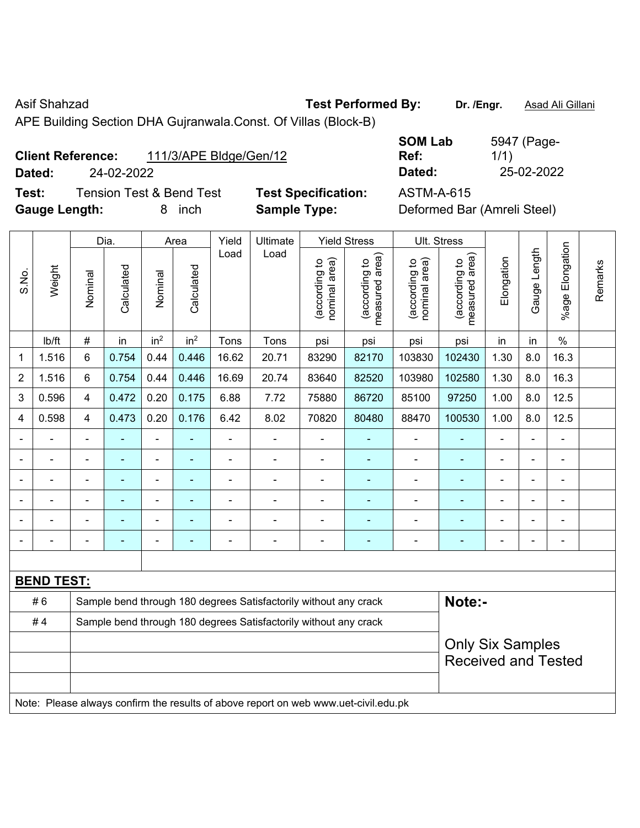Asif Shahzad **Test Performed By:** Dr. /Engr. **Asad Ali Gillani** 

APE Building Section DHA Gujranwala.Const. Of Villas (Block-B)

| <b>Client Reference:</b> | 111/3/APE Bldge/Gen/12 |
|--------------------------|------------------------|
|                          |                        |

**Dated:** 24-02-2022 **Dated:** 25-02-2022 **Test:** Tension Test & Bend Test **Test Specification:** ASTM-A-615

| <b>SOM Lab</b> | 5947 (Page- |
|----------------|-------------|
| Ref:           | 1/1)        |
| Dated:         | 25-02-2022  |

**Gauge Length:** 8 inch **Sample Type:** Deformed Bar (Amreli Steel)

|                              |                   |                          | Dia.           |                 | Area            | Yield          | Ultimate                                                                            |                                | <b>Yield Stress</b>             | Ult. Stress                    |                                 |                          |                |                    |         |
|------------------------------|-------------------|--------------------------|----------------|-----------------|-----------------|----------------|-------------------------------------------------------------------------------------|--------------------------------|---------------------------------|--------------------------------|---------------------------------|--------------------------|----------------|--------------------|---------|
| S.No.                        | Weight            | Nominal                  | Calculated     | Nominal         | Calculated      | Load           | Load                                                                                | nominal area)<br>(according to | (according to<br>measured area) | nominal area)<br>(according to | measured area)<br>(according to | Elongation               | Gauge Length   | Elongation<br>%age | Remarks |
|                              | lb/ft             | $\#$                     | in             | in <sup>2</sup> | in <sup>2</sup> | Tons           | Tons                                                                                | psi                            | psi                             | psi                            | psi                             | in                       | in             | $\%$               |         |
| 1                            | 1.516             | $\,6$                    | 0.754          | 0.44            | 0.446           | 16.62          | 20.71                                                                               | 83290                          | 82170                           | 103830                         | 102430                          | 1.30                     | 8.0            | 16.3               |         |
| 2                            | 1.516             | 6                        | 0.754          | 0.44            | 0.446           | 16.69          | 20.74                                                                               | 83640                          | 82520                           | 103980                         | 102580                          | 1.30                     | 8.0            | 16.3               |         |
| 3                            | 0.596             | $\overline{4}$           | 0.472          | 0.20            | 0.175           | 6.88           | 7.72                                                                                | 75880                          | 86720                           | 85100                          | 97250                           | 1.00                     | 8.0            | 12.5               |         |
| 4                            | 0.598             | 4                        | 0.473          | 0.20            | 0.176           | 6.42           | 8.02                                                                                | 70820                          | 80480                           | 88470                          | 100530                          | 1.00                     | 8.0            | 12.5               |         |
| $\qquad \qquad \blacksquare$ |                   | $\blacksquare$           | $\blacksquare$ | ÷,              | ÷               | $\blacksquare$ | Ē,                                                                                  | $\frac{1}{2}$                  | $\blacksquare$                  | $\blacksquare$                 | $\blacksquare$                  | ÷                        | ÷,             | $\blacksquare$     |         |
|                              |                   | $\blacksquare$           | ä,             | $\blacksquare$  | $\blacksquare$  | ä,             | $\overline{\phantom{0}}$                                                            | $\blacksquare$                 | ۰                               | $\blacksquare$                 | $\blacksquare$                  | $\overline{a}$           | L,             | $\blacksquare$     |         |
|                              | $\blacksquare$    | $\blacksquare$           | ÷              | ÷,              | ÷               | $\blacksquare$ | $\overline{\phantom{0}}$                                                            | $\blacksquare$                 | $\blacksquare$                  |                                | $\overline{\phantom{a}}$        | $\overline{a}$           | $\blacksquare$ | $\blacksquare$     |         |
|                              |                   |                          |                | $\blacksquare$  |                 | ÷,             | ÷.                                                                                  | $\blacksquare$                 | ۰                               |                                | $\blacksquare$                  |                          |                | $\blacksquare$     |         |
|                              |                   |                          |                |                 |                 |                |                                                                                     |                                | ÷                               |                                |                                 |                          |                |                    |         |
| $\blacksquare$               |                   | $\overline{\phantom{0}}$ | $\blacksquare$ | $\overline{a}$  | ۳               | $\blacksquare$ | $\overline{\phantom{0}}$                                                            | -                              | ۰                               | -                              | $\overline{a}$                  | $\overline{\phantom{a}}$ | $\blacksquare$ | $\blacksquare$     |         |
|                              |                   |                          |                |                 |                 |                |                                                                                     |                                |                                 |                                |                                 |                          |                |                    |         |
|                              | <b>BEND TEST:</b> |                          |                |                 |                 |                |                                                                                     |                                |                                 |                                |                                 |                          |                |                    |         |
|                              | #6                |                          |                |                 |                 |                | Sample bend through 180 degrees Satisfactorily without any crack                    |                                |                                 |                                | Note:-                          |                          |                |                    |         |
|                              | #4                |                          |                |                 |                 |                | Sample bend through 180 degrees Satisfactorily without any crack                    |                                |                                 |                                |                                 |                          |                |                    |         |
|                              |                   | <b>Only Six Samples</b>  |                |                 |                 |                |                                                                                     |                                |                                 |                                |                                 |                          |                |                    |         |
|                              |                   |                          |                |                 |                 |                |                                                                                     |                                |                                 |                                | <b>Received and Tested</b>      |                          |                |                    |         |
|                              |                   |                          |                |                 |                 |                |                                                                                     |                                |                                 |                                |                                 |                          |                |                    |         |
|                              |                   |                          |                |                 |                 |                | Note: Please always confirm the results of above report on web www.uet-civil.edu.pk |                                |                                 |                                |                                 |                          |                |                    |         |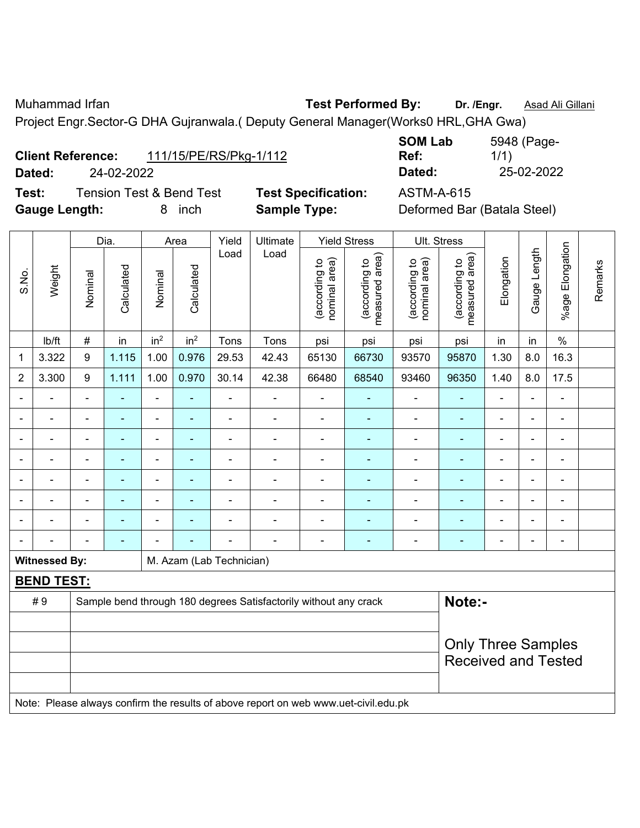Muhammad Irfan **Test Performed By:** Dr. /Engr. **Asad Ali Gillani** Assembly Dr. /Engr. **Asad Ali Gillani** 

Project Engr.Sector-G DHA Gujranwala.( Deputy General Manager(Works0 HRL,GHA Gwa)

| <b>Client Reference:</b> |            | 111/15/PE/RS/Pkg-1/112 |
|--------------------------|------------|------------------------|
| Dated:                   | 24-02-2022 |                        |

**Test:** Tension Test & Bend Test **Test Specification:** ASTM-A-615 **Gauge Length:** 8 inch **Sample Type:** Deformed Bar (Batala Steel)

**SOM Lab Ref:**  5948 (Page-1/1) **Dated:** 24-02-2022 **Dated:** 25-02-2022

|                          |                      |                           | Dia.           |                    | Area            | Yield                    | Ultimate                                                                            |                                | <b>Yield Stress</b>             | <b>Ult. Stress</b>             |                                 |                            |                |                 |         |
|--------------------------|----------------------|---------------------------|----------------|--------------------|-----------------|--------------------------|-------------------------------------------------------------------------------------|--------------------------------|---------------------------------|--------------------------------|---------------------------------|----------------------------|----------------|-----------------|---------|
| S.No.                    | Weight               | Nominal                   | Calculated     | Nominal            | Calculated      | Load                     | Load                                                                                | nominal area)<br>(according to | measured area)<br>(according to | nominal area)<br>(according to | measured area)<br>(according to | Elongation                 | Gauge Length   | %age Elongation | Remarks |
|                          | lb/ft                | $\#$                      | in             | in <sup>2</sup>    | in <sup>2</sup> | Tons                     | Tons                                                                                | psi                            | psi                             | psi                            | psi                             | in                         | in             | $\%$            |         |
| 1                        | 3.322                | 9                         | 1.115          | 1.00               | 0.976           | 29.53                    | 42.43                                                                               | 65130                          | 66730                           | 93570                          | 95870                           | 1.30                       | 8.0            | 16.3            |         |
| 2                        | 3.300                | 9                         | 1.111          | 1.00               | 0.970           | 30.14                    | 42.38                                                                               | 66480                          | 68540                           | 93460                          | 96350                           | 1.40                       | 8.0            | 17.5            |         |
| $\blacksquare$           |                      | $\blacksquare$            | ÷,             | $\blacksquare$     | ÷,              | $\blacksquare$           | ÷                                                                                   | $\blacksquare$                 | ۰                               | $\overline{\phantom{a}}$       | ä,                              | ÷,                         | ÷,             | $\blacksquare$  |         |
| $\blacksquare$           | $\blacksquare$       | $\blacksquare$            | $\blacksquare$ | $\blacksquare$     | $\blacksquare$  | $\blacksquare$           | $\blacksquare$                                                                      | $\blacksquare$                 | Ξ                               | $\blacksquare$                 | $\blacksquare$                  | $\blacksquare$             | ÷,             | $\blacksquare$  |         |
|                          |                      | $\blacksquare$            | $\blacksquare$ | $\blacksquare$     | ä,              | L.                       | ÷                                                                                   | $\blacksquare$                 | $\blacksquare$                  | ÷                              |                                 |                            | $\blacksquare$ | $\blacksquare$  |         |
|                          |                      |                           |                | $\blacksquare$     | ۰<br>۰          |                          |                                                                                     |                                |                                 |                                |                                 |                            | $\blacksquare$ |                 |         |
|                          |                      | $\blacksquare$            |                | ä,<br>ä,<br>٠<br>۰ |                 |                          |                                                                                     |                                |                                 |                                |                                 |                            |                |                 |         |
|                          |                      | $\blacksquare$            | $\blacksquare$ | ä,                 |                 |                          |                                                                                     | $\blacksquare$                 |                                 |                                | $\blacksquare$                  | ÷                          | $\blacksquare$ | $\blacksquare$  |         |
| $\overline{\phantom{0}}$ |                      | $\blacksquare$            | $\blacksquare$ | $\blacksquare$     | ÷               | Ē,                       | $\blacksquare$                                                                      | $\blacksquare$                 | ۰                               | $\overline{a}$                 | $\blacksquare$                  | ۰                          | $\blacksquare$ | $\blacksquare$  |         |
|                          |                      | $\blacksquare$            | $\blacksquare$ | $\blacksquare$     |                 |                          |                                                                                     | $\blacksquare$                 | ۰                               | $\overline{\phantom{a}}$       |                                 | ۰                          | $\blacksquare$ | $\blacksquare$  |         |
|                          | <b>Witnessed By:</b> |                           |                |                    |                 | M. Azam (Lab Technician) |                                                                                     |                                |                                 |                                |                                 |                            |                |                 |         |
|                          | <b>BEND TEST:</b>    |                           |                |                    |                 |                          |                                                                                     |                                |                                 |                                |                                 |                            |                |                 |         |
|                          | #9                   |                           |                |                    |                 |                          | Sample bend through 180 degrees Satisfactorily without any crack                    |                                |                                 |                                | Note:-                          |                            |                |                 |         |
|                          |                      |                           |                |                    |                 |                          |                                                                                     |                                |                                 |                                |                                 |                            |                |                 |         |
|                          |                      | <b>Only Three Samples</b> |                |                    |                 |                          |                                                                                     |                                |                                 |                                |                                 |                            |                |                 |         |
|                          |                      |                           |                |                    |                 |                          |                                                                                     |                                |                                 |                                |                                 | <b>Received and Tested</b> |                |                 |         |
|                          |                      |                           |                |                    |                 |                          |                                                                                     |                                |                                 |                                |                                 |                            |                |                 |         |
|                          |                      |                           |                |                    |                 |                          | Note: Please always confirm the results of above report on web www.uet-civil.edu.pk |                                |                                 |                                |                                 |                            |                |                 |         |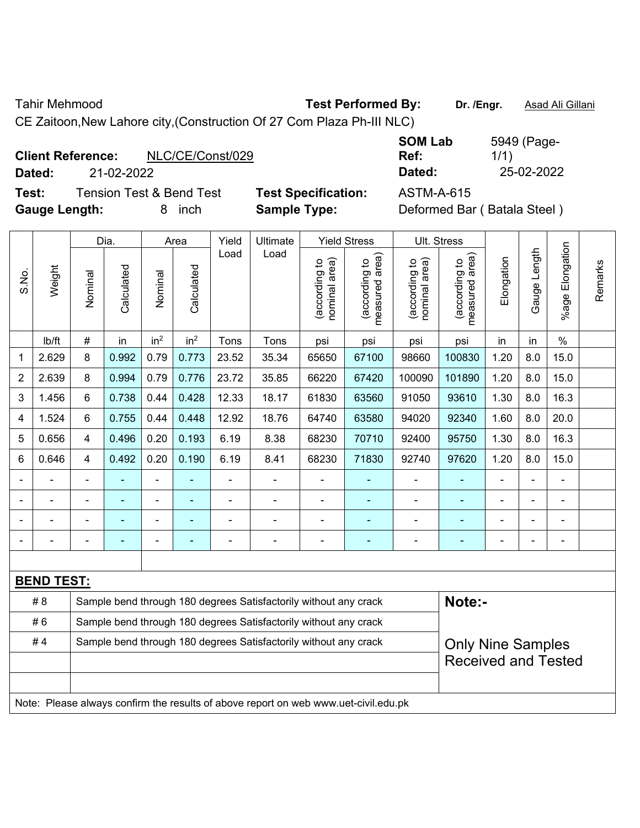Tahir Mehmood **Test Performed By: Dr. /Engr.** Asad Ali Gillani

CE Zaitoon,New Lahore city,(Construction Of 27 Com Plaza Ph-III NLC)

| <b>Client Reference:</b> |            | NLC/CE/Const/029 |
|--------------------------|------------|------------------|
| Dated:                   | 21-02-2022 |                  |

**Test:** Tension Test & Bend Test **Test Specification:** ASTM-A-615 **Gauge Length:** 8 inch **Sample Type:** Deformed Bar ( Batala Steel )

**SOM Lab Ref:**  5949 (Page-1/1) **Dated:** 21-02-2022 **Dated:** 25-02-2022

|                |                   |                                                                  | Dia.           |                 | Area            | Yield          | Ultimate                                                                            |                                | <b>Yield Stress</b>             |                                | Ult. Stress                        |                          |                |                 |         |
|----------------|-------------------|------------------------------------------------------------------|----------------|-----------------|-----------------|----------------|-------------------------------------------------------------------------------------|--------------------------------|---------------------------------|--------------------------------|------------------------------------|--------------------------|----------------|-----------------|---------|
| S.No.          | Weight            | Nominal                                                          | Calculated     | Nominal         | Calculated      | Load           | Load                                                                                | nominal area)<br>(according to | (according to<br>measured area) | nominal area)<br>(according to | area)<br>(according to<br>measured | Elongation               | Gauge Length   | %age Elongation | Remarks |
|                | lb/ft             | #                                                                | in             | in <sup>2</sup> | in <sup>2</sup> | Tons           | Tons                                                                                | psi                            | psi                             | psi                            | psi                                | in                       | in             | $\frac{0}{0}$   |         |
| 1              | 2.629             | 8                                                                | 0.992          | 0.79            | 0.773           | 23.52          | 35.34                                                                               | 65650                          | 67100                           | 98660                          | 100830                             | 1.20                     | 8.0            | 15.0            |         |
| $\overline{2}$ | 2.639             | 8                                                                | 0.994          | 0.79            | 0.776           | 23.72          | 35.85                                                                               | 66220                          | 67420                           | 100090                         | 101890                             | 1.20                     | 8.0            | 15.0            |         |
| 3              | 1.456             | 6                                                                | 0.738          | 0.44            | 0.428           | 12.33          | 18.17                                                                               | 61830                          | 63560                           | 91050                          | 93610                              | 1.30                     | 8.0            | 16.3            |         |
| 4              | 1.524             | 6                                                                | 0.755          | 0.44            | 0.448           | 12.92          | 18.76                                                                               | 64740                          | 63580                           | 94020                          | 92340                              | 1.60                     | 8.0            | 20.0            |         |
| 5              | 0.656             | 4                                                                | 0.496          | 0.20            | 0.193           | 6.19           | 8.38                                                                                | 68230                          | 70710                           | 92400                          | 95750                              | 1.30                     | 8.0            | 16.3            |         |
| 6              | 0.646             | 4                                                                | 0.492          | 0.20            | 0.190           | 6.19           | 8.41                                                                                | 68230                          | 71830                           | 92740                          | 97620                              | 1.20                     | 8.0            | 15.0            |         |
|                |                   | $\blacksquare$                                                   | $\blacksquare$ | ÷,              | $\blacksquare$  | ÷,             | $\blacksquare$                                                                      | $\blacksquare$                 | ÷,                              | ä,                             | ÷                                  | $\overline{\phantom{a}}$ | ä,             | ä,              |         |
|                |                   | $\blacksquare$                                                   | ÷,             | ÷,              | $\blacksquare$  | $\blacksquare$ | $\blacksquare$                                                                      | ÷,                             | ÷                               | $\blacksquare$                 | ÷                                  | -                        | $\blacksquare$ | $\blacksquare$  |         |
|                |                   |                                                                  |                | ÷               |                 | $\blacksquare$ | $\blacksquare$                                                                      | L,                             | $\blacksquare$                  |                                | $\blacksquare$                     | ÷                        | $\blacksquare$ |                 |         |
|                |                   |                                                                  |                |                 | ÷               |                |                                                                                     | ÷                              | $\overline{\phantom{0}}$        |                                | $\overline{\phantom{0}}$           | ۰                        | $\blacksquare$ |                 |         |
|                |                   |                                                                  |                |                 |                 |                |                                                                                     |                                |                                 |                                |                                    |                          |                |                 |         |
|                | <b>BEND TEST:</b> |                                                                  |                |                 |                 |                |                                                                                     |                                |                                 |                                |                                    |                          |                |                 |         |
|                | #8                |                                                                  |                |                 |                 |                | Sample bend through 180 degrees Satisfactorily without any crack                    |                                |                                 |                                | Note:-                             |                          |                |                 |         |
|                | #6                |                                                                  |                |                 |                 |                | Sample bend through 180 degrees Satisfactorily without any crack                    |                                |                                 |                                |                                    |                          |                |                 |         |
|                | #4                | Sample bend through 180 degrees Satisfactorily without any crack |                |                 |                 |                |                                                                                     |                                |                                 |                                | <b>Only Nine Samples</b>           |                          |                |                 |         |
|                |                   |                                                                  |                |                 |                 |                |                                                                                     |                                |                                 |                                | <b>Received and Tested</b>         |                          |                |                 |         |
|                |                   |                                                                  |                |                 |                 |                |                                                                                     |                                |                                 |                                |                                    |                          |                |                 |         |
|                |                   |                                                                  |                |                 |                 |                | Note: Please always confirm the results of above report on web www.uet-civil.edu.pk |                                |                                 |                                |                                    |                          |                |                 |         |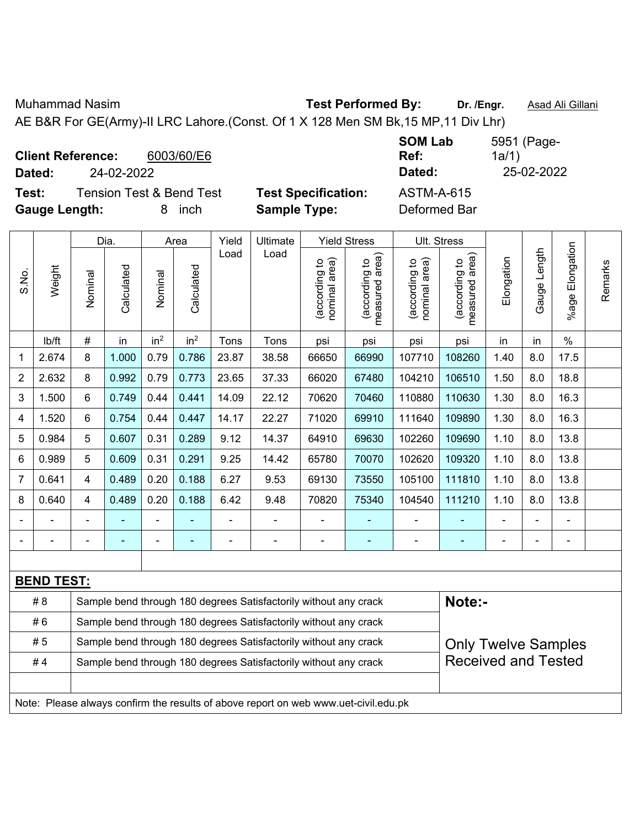Muhammad Nasim **Test Performed By: Dr. /Engr.** Asad Ali Gillani

AE B&R For GE(Army)-II LRC Lahore.(Const. Of 1 X 128 Men SM Bk,15 MP,11 Div Lhr)

| <b>Client Reference:</b> |                                     | 6003/60/E6 |                            | <b>SOM Lab</b><br>Ref: | 5951 (Page-<br>1a/1 |
|--------------------------|-------------------------------------|------------|----------------------------|------------------------|---------------------|
| Dated:                   | 24-02-2022                          |            |                            | Dated:                 | 25-02-2022          |
| Test:                    | <b>Tension Test &amp; Bend Test</b> |            | <b>Test Specification:</b> | <b>ASTM-A-615</b>      |                     |
| <b>Gauge Length:</b>     |                                     | inch<br>8. | <b>Sample Type:</b>        | Deformed Bar           |                     |

|                |                   |                                                                                                | Dia.       |                 | Area                     | Yield          | Ultimate                                                                            |                                | <b>Yield Stress</b>             |                                | Ult. Stress                        |            |                   |                    |         |
|----------------|-------------------|------------------------------------------------------------------------------------------------|------------|-----------------|--------------------------|----------------|-------------------------------------------------------------------------------------|--------------------------------|---------------------------------|--------------------------------|------------------------------------|------------|-------------------|--------------------|---------|
| S.No.          | Weight            | Nominal                                                                                        | Calculated | Nominal         | Calculated               | Load           | Load                                                                                | nominal area)<br>(according to | measured area)<br>(according to | (according to<br>nominal area) | area)<br>(according to<br>measured | Elongation | Length<br>Gauge I | Elongation<br>%age | Remarks |
|                | lb/ft             | $\#$                                                                                           | in         | in <sup>2</sup> | in <sup>2</sup>          | Tons           | Tons                                                                                | psi                            | psi                             | psi                            | psi                                | in         | in                | $\%$               |         |
| 1              | 2.674             | 8                                                                                              | 1.000      | 0.79            | 0.786                    | 23.87          | 38.58                                                                               | 66650                          | 66990                           | 107710                         | 108260                             | 1.40       | 8.0               | 17.5               |         |
| $\overline{2}$ | 2.632             | 8                                                                                              | 0.992      | 0.79            | 0.773                    | 23.65          | 37.33                                                                               | 66020                          | 67480                           | 104210                         | 106510                             | 1.50       | 8.0               | 18.8               |         |
| 3              | 1.500             | 6                                                                                              | 0.749      | 0.44            | 0.441                    | 14.09          | 22.12                                                                               | 70620                          | 70460                           | 110880                         | 110630                             | 1.30       | 8.0               | 16.3               |         |
| 4              | 1.520             | 6                                                                                              | 0.754      | 0.44            | 0.447                    | 14.17          | 22.27                                                                               | 71020                          | 69910                           | 111640                         | 109890                             | 1.30       | 8.0               | 16.3               |         |
| 5              | 0.984             | 5                                                                                              | 0.607      | 0.31            | 0.289                    | 9.12           | 14.37                                                                               | 64910                          | 69630                           | 102260                         | 109690                             | 1.10       | 8.0               | 13.8               |         |
| 6              | 0.989             | 5                                                                                              | 0.609      | 0.31            | 0.291                    | 9.25           | 14.42                                                                               | 65780                          | 70070                           | 102620                         | 109320                             | 1.10       | 8.0               | 13.8               |         |
| $\overline{7}$ | 0.641             | $\overline{4}$                                                                                 | 0.489      | 0.20            | 0.188                    | 6.27           | 9.53                                                                                | 69130                          | 73550                           | 105100                         | 111810                             | 1.10       | 8.0               | 13.8               |         |
| 8              | 0.640             | $\overline{4}$                                                                                 | 0.489      | 0.20            | 0.188                    | 6.42           | 9.48                                                                                | 70820                          | 75340                           | 104540                         | 111210                             | 1.10       | 8.0               | 13.8               |         |
|                |                   |                                                                                                |            |                 |                          |                |                                                                                     |                                |                                 |                                |                                    |            |                   |                    |         |
| $\blacksquare$ |                   |                                                                                                | ٠          | $\blacksquare$  | $\overline{\phantom{0}}$ | $\blacksquare$ | $\overline{\phantom{0}}$                                                            | $\blacksquare$                 | $\overline{\phantom{0}}$        |                                | ä,                                 | ä,         | ä,                | $\blacksquare$     |         |
|                |                   |                                                                                                |            |                 |                          |                |                                                                                     |                                |                                 |                                |                                    |            |                   |                    |         |
|                | <b>BEND TEST:</b> |                                                                                                |            |                 |                          |                |                                                                                     |                                |                                 |                                |                                    |            |                   |                    |         |
|                | # 8               |                                                                                                |            |                 |                          |                | Sample bend through 180 degrees Satisfactorily without any crack                    |                                |                                 |                                | Note:-                             |            |                   |                    |         |
|                | #6                |                                                                                                |            |                 |                          |                | Sample bend through 180 degrees Satisfactorily without any crack                    |                                |                                 |                                |                                    |            |                   |                    |         |
|                | #5                | Sample bend through 180 degrees Satisfactorily without any crack<br><b>Only Twelve Samples</b> |            |                 |                          |                |                                                                                     |                                |                                 |                                |                                    |            |                   |                    |         |
|                | #4                |                                                                                                |            |                 |                          |                | Sample bend through 180 degrees Satisfactorily without any crack                    |                                |                                 |                                | <b>Received and Tested</b>         |            |                   |                    |         |
|                |                   |                                                                                                |            |                 |                          |                |                                                                                     |                                |                                 |                                |                                    |            |                   |                    |         |
|                |                   |                                                                                                |            |                 |                          |                | Note: Please always confirm the results of above report on web www.uet-civil.edu.pk |                                |                                 |                                |                                    |            |                   |                    |         |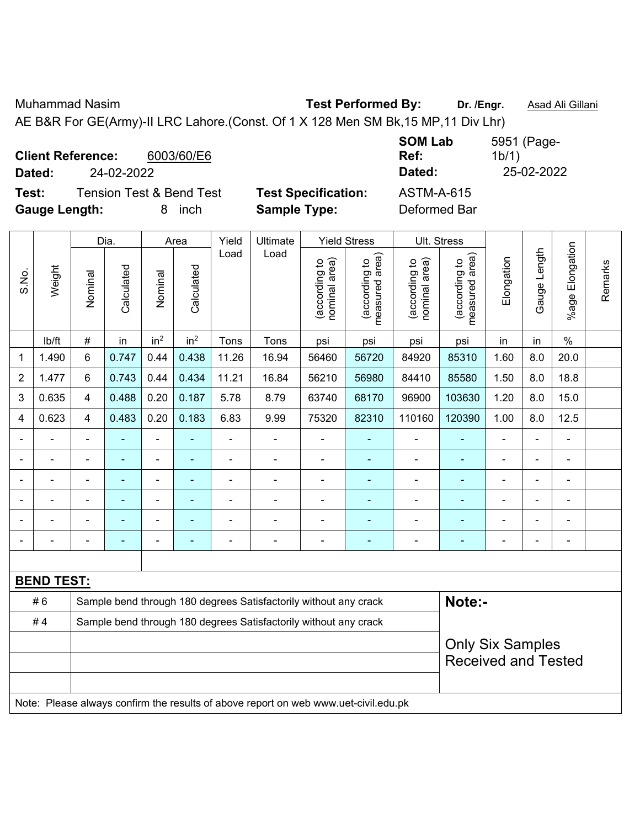Muhammad Nasim **Test Performed By: Dr. /Engr.** Asad Ali Gillani

AE B&R For GE(Army)-II LRC Lahore.(Const. Of 1 X 128 Men SM Bk,15 MP,11 Div Lhr)

| <b>Client Reference:</b><br>Dated: | 24-02-2022                          | 6003/60/E6 |                            | <b>SOM Lab</b><br>Ref:<br>Dated: | 5951 (Page-<br>1b/1)<br>25-02-2022 |
|------------------------------------|-------------------------------------|------------|----------------------------|----------------------------------|------------------------------------|
| Test:                              | <b>Tension Test &amp; Bend Test</b> |            | <b>Test Specification:</b> | <b>ASTM-A-615</b>                |                                    |
| <b>Gauge Length:</b>               |                                     | inch<br>8. | <b>Sample Type:</b>        | Deformed Bar                     |                                    |

|                                                                        |                                                                                     |                | Dia.           |                 | Area                     | Yield          | Ultimate                                                         |                                | <b>Yield Stress</b>             |                                | Ult. Stress                                 |            |                |                          |         |
|------------------------------------------------------------------------|-------------------------------------------------------------------------------------|----------------|----------------|-----------------|--------------------------|----------------|------------------------------------------------------------------|--------------------------------|---------------------------------|--------------------------------|---------------------------------------------|------------|----------------|--------------------------|---------|
| S.No.                                                                  | Weight                                                                              | Nominal        | Calculated     | Nominal         | Calculated               | Load           | Load                                                             | nominal area)<br>(according to | (according to<br>measured area) | nominal area)<br>(according to | (according to<br>measured area)<br>measured | Elongation | Gauge Length   | Elongation<br>$%$ age    | Remarks |
|                                                                        | lb/ft                                                                               | $\#$           | in             | in <sup>2</sup> | in <sup>2</sup>          | Tons           | Tons                                                             | psi                            | psi                             | psi                            | psi                                         | in         | in             | $\%$                     |         |
| 1                                                                      | 1.490                                                                               | 6              | 0.747          | 0.44            | 0.438                    | 11.26          | 16.94                                                            | 56460                          | 56720                           | 84920                          | 85310                                       | 1.60       | 8.0            | 20.0                     |         |
| $\overline{c}$                                                         | 1.477                                                                               | 6              | 0.743          | 0.44            | 0.434                    | 11.21          | 16.84                                                            | 56210                          | 56980                           | 84410                          | 85580                                       | 1.50       | 8.0            | 18.8                     |         |
| 3                                                                      | 0.635                                                                               | $\overline{4}$ | 0.488          | 0.20            | 0.187                    | 5.78           | 8.79                                                             | 63740                          | 68170                           | 96900                          | 103630                                      | 1.20       | 8.0            | 15.0                     |         |
| 4                                                                      | 0.623                                                                               | $\overline{4}$ | 0.483          | 0.20            | 0.183                    | 6.83           | 9.99                                                             | 75320                          | 82310                           | 110160                         | 120390                                      | 1.00       | 8.0            | 12.5                     |         |
|                                                                        | ÷,                                                                                  |                | $\blacksquare$ | ÷,              | ÷,                       | ÷,             | $\blacksquare$                                                   | ÷,                             | ÷                               |                                | ÷,                                          | ÷,         | ÷,             | ÷,                       |         |
|                                                                        | $\blacksquare$                                                                      | $\blacksquare$ | $\blacksquare$ | ÷,              | ÷                        | $\blacksquare$ | $\blacksquare$                                                   | $\blacksquare$                 | ÷,                              | ä,                             | $\blacksquare$                              | ÷,         | ä,             | $\blacksquare$           |         |
|                                                                        |                                                                                     |                | $\blacksquare$ | $\blacksquare$  | ۰                        | $\blacksquare$ | $\blacksquare$                                                   | $\blacksquare$                 | ٠                               |                                | ä,                                          | Ē,         | ä,             | $\blacksquare$           |         |
|                                                                        |                                                                                     |                |                |                 |                          |                |                                                                  |                                |                                 |                                |                                             |            |                |                          |         |
|                                                                        |                                                                                     |                |                |                 |                          |                |                                                                  |                                |                                 |                                |                                             |            | $\blacksquare$ |                          |         |
| ۰                                                                      | -                                                                                   |                | ٠              | $\blacksquare$  | $\overline{\phantom{0}}$ | ٠              | $\overline{\phantom{0}}$                                         | $\overline{a}$                 | $\overline{\phantom{0}}$        |                                | $\blacksquare$                              | -          | -              | $\overline{\phantom{a}}$ |         |
|                                                                        |                                                                                     |                |                |                 |                          |                |                                                                  |                                |                                 |                                |                                             |            |                |                          |         |
|                                                                        | <b>BEND TEST:</b>                                                                   |                |                |                 |                          |                |                                                                  |                                |                                 |                                |                                             |            |                |                          |         |
|                                                                        | #6                                                                                  |                |                |                 |                          |                | Sample bend through 180 degrees Satisfactorily without any crack |                                |                                 |                                | Note:-                                      |            |                |                          |         |
| #4<br>Sample bend through 180 degrees Satisfactorily without any crack |                                                                                     |                |                |                 |                          |                |                                                                  |                                |                                 |                                |                                             |            |                |                          |         |
|                                                                        |                                                                                     |                |                |                 |                          |                |                                                                  |                                |                                 |                                | <b>Only Six Samples</b>                     |            |                |                          |         |
|                                                                        |                                                                                     |                |                |                 |                          |                |                                                                  |                                |                                 |                                | <b>Received and Tested</b>                  |            |                |                          |         |
|                                                                        |                                                                                     |                |                |                 |                          |                |                                                                  |                                |                                 |                                |                                             |            |                |                          |         |
|                                                                        | Note: Please always confirm the results of above report on web www.uet-civil.edu.pk |                |                |                 |                          |                |                                                                  |                                |                                 |                                |                                             |            |                |                          |         |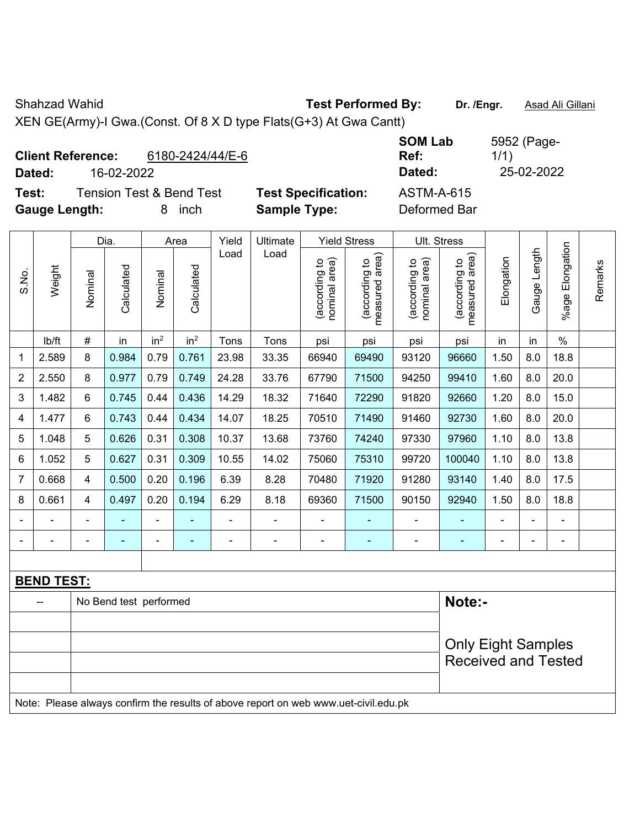Shahzad Wahid **Test Performed By:** Dr. /Engr. **Asad Ali Gillani** 

XEN GE(Army)-I Gwa.(Const. Of 8 X D type Flats(G+3) At Gwa Cantt)

| <b>Client Reference:</b> |            | 6180-2424/44/E-6                    |                            | <b>SOM Lab</b><br>Ref: | 5952 (Page-<br>1/1) |
|--------------------------|------------|-------------------------------------|----------------------------|------------------------|---------------------|
| Dated:                   | 16-02-2022 |                                     |                            | Dated:                 | 25-02-2022          |
| Test:                    |            | <b>Tension Test &amp; Bend Test</b> | <b>Test Specification:</b> | <b>ASTM-A-615</b>      |                     |
| <b>Gauge Length:</b>     |            | inch                                | <b>Sample Type:</b>        | Deformed Bar           |                     |

|                |                                                                                     |         | Dia.                   |                 | Area            | Yield | Ultimate |                                | <b>Yield Stress</b>             |                                | Ult. Stress                     |                |              |                    |         |
|----------------|-------------------------------------------------------------------------------------|---------|------------------------|-----------------|-----------------|-------|----------|--------------------------------|---------------------------------|--------------------------------|---------------------------------|----------------|--------------|--------------------|---------|
| S.No.          | Weight                                                                              | Nominal | Calculated             | Nominal         | Calculated      | Load  | Load     | nominal area)<br>(according to | (according to<br>measured area) | nominal area)<br>(according to | (according to<br>measured area) | Elongation     | Gauge Length | Elongation<br>%age | Remarks |
|                | lb/ft                                                                               | $\#$    | in                     | in <sup>2</sup> | in <sup>2</sup> | Tons  | Tons     | psi                            | psi                             | psi                            | psi                             | in             | in           | $\%$               |         |
| 1              | 2.589                                                                               | 8       | 0.984                  | 0.79            | 0.761           | 23.98 | 33.35    | 66940                          | 69490                           | 93120                          | 96660                           | 1.50           | 8.0          | 18.8               |         |
| $\overline{2}$ | 2.550                                                                               | 8       | 0.977                  | 0.79            | 0.749           | 24.28 | 33.76    | 67790                          | 71500                           | 94250                          | 99410                           | 1.60           | 8.0          | 20.0               |         |
| 3              | 1.482                                                                               | 6       | 0.745                  | 0.44            | 0.436           | 14.29 | 18.32    | 71640                          | 72290                           | 91820                          | 92660                           | 1.20           | 8.0          | 15.0               |         |
| 4              | 1.477                                                                               | 6       | 0.743                  | 0.44            | 0.434           | 14.07 | 18.25    | 70510                          | 71490                           | 91460                          | 92730                           | 1.60           | 8.0          | 20.0               |         |
| 5              | 1.048                                                                               | 5       | 0.626                  | 0.31            | 0.308           | 10.37 | 13.68    | 73760                          | 74240                           | 97330                          | 97960                           | 1.10           | 8.0          | 13.8               |         |
| 6              | 1.052                                                                               | 5       | 0.627                  | 0.31            | 0.309           | 10.55 | 14.02    | 75060                          | 75310                           | 99720                          | 100040                          | 1.10           | 8.0          | 13.8               |         |
| $\overline{7}$ | 0.668                                                                               | 4       | 0.500                  | 0.20            | 0.196           | 6.39  | 8.28     | 70480                          | 71920                           | 91280                          | 93140                           | 1.40           | 8.0          | 17.5               |         |
| 8              | 0.661                                                                               | 4       | 0.497                  | 0.20            | 0.194           | 6.29  | 8.18     | 69360                          | 71500                           | 90150                          | 92940                           | 1.50           | 8.0          | 18.8               |         |
|                |                                                                                     |         |                        |                 |                 |       |          |                                |                                 |                                |                                 |                |              |                    |         |
|                |                                                                                     |         |                        | $\blacksquare$  | $\overline{a}$  |       |          | $\blacksquare$                 | ٠                               | $\blacksquare$                 |                                 | $\blacksquare$ | ÷            | $\blacksquare$     |         |
|                |                                                                                     |         |                        |                 |                 |       |          |                                |                                 |                                |                                 |                |              |                    |         |
|                | <b>BEND TEST:</b>                                                                   |         |                        |                 |                 |       |          |                                |                                 |                                |                                 |                |              |                    |         |
|                |                                                                                     |         | No Bend test performed |                 |                 |       |          |                                |                                 |                                | Note:-                          |                |              |                    |         |
|                |                                                                                     |         |                        |                 |                 |       |          |                                |                                 |                                |                                 |                |              |                    |         |
|                |                                                                                     |         |                        |                 |                 |       |          |                                |                                 | <b>Only Eight Samples</b>      |                                 |                |              |                    |         |
|                |                                                                                     |         |                        |                 |                 |       |          |                                |                                 |                                | <b>Received and Tested</b>      |                |              |                    |         |
|                | Note: Please always confirm the results of above report on web www.uet-civil.edu.pk |         |                        |                 |                 |       |          |                                |                                 |                                |                                 |                |              |                    |         |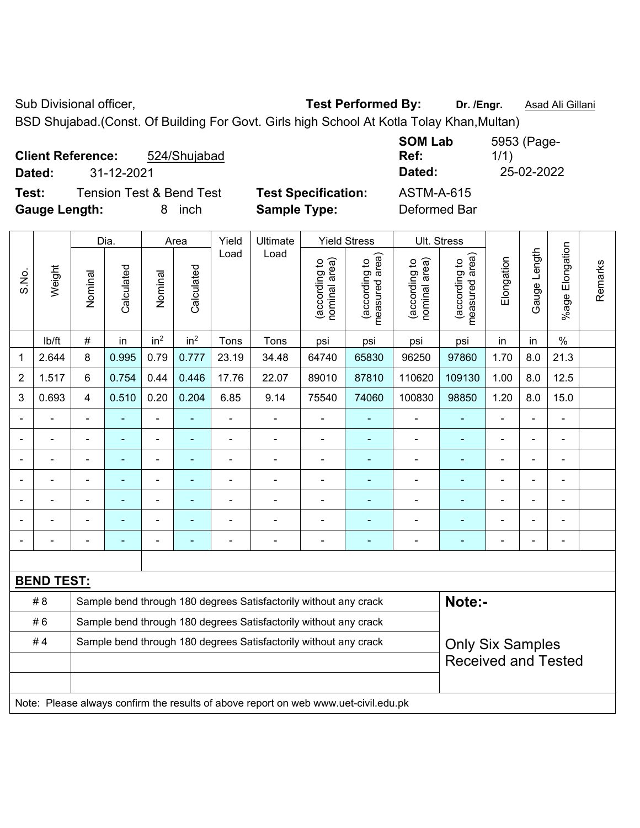Sub Divisional officer, **Test Performed By:** Dr. /Engr. **Asad Ali Gillani** Associated By: Dr. /Engr. **Asad Ali Gillani** 

BSD Shujabad.(Const. Of Building For Govt. Girls high School At Kotla Tolay Khan,Multan)

| <b>Client Reference:</b> |            | 524/Shujabad                        |                            | <b>SOM Lab</b><br>Ref: | 5953 (Page-<br>1/1) |
|--------------------------|------------|-------------------------------------|----------------------------|------------------------|---------------------|
| Dated:                   | 31-12-2021 |                                     |                            | Dated:                 | 25-02-2022          |
| Test:                    |            | <b>Tension Test &amp; Bend Test</b> | <b>Test Specification:</b> | <b>ASTM-A-615</b>      |                     |
| <b>Gauge Length:</b>     |            | inch<br>8.                          | <b>Sample Type:</b>        | Deformed Bar           |                     |

|                                                                        |                                                                                     |                | Dia.       |                              | Area                     | Yield          | Ultimate                                                         |                                | <b>Yield Stress</b>                         |                                | Ult. Stress                     |                |                |                       |         |
|------------------------------------------------------------------------|-------------------------------------------------------------------------------------|----------------|------------|------------------------------|--------------------------|----------------|------------------------------------------------------------------|--------------------------------|---------------------------------------------|--------------------------------|---------------------------------|----------------|----------------|-----------------------|---------|
| S.No.                                                                  | Weight                                                                              | Nominal        | Calculated | Nominal                      | Calculated               | Load           | Load                                                             | nominal area)<br>(according to | (according to<br>neasured area)<br>measured | nominal area)<br>(according to | (according to<br>measured area) | Elongation     | Gauge Length   | Elongation<br>$%$ age | Remarks |
|                                                                        | lb/ft                                                                               | $\#$           | in         | in <sup>2</sup>              | in <sup>2</sup>          | Tons           | Tons                                                             | psi                            | psi                                         | psi                            | psi                             | in             | in             | $\%$                  |         |
| 1                                                                      | 2.644                                                                               | 8              | 0.995      | 0.79                         | 0.777                    | 23.19          | 34.48                                                            | 64740                          | 65830                                       | 96250                          | 97860                           | 1.70           | 8.0            | 21.3                  |         |
| $\overline{2}$                                                         | 1.517                                                                               | 6              | 0.754      | 0.44                         | 0.446                    | 17.76          | 22.07                                                            | 89010                          | 87810                                       | 110620                         | 109130                          | 1.00           | 8.0            | 12.5                  |         |
| 3                                                                      | 0.693                                                                               | 4              | 0.510      | 0.20                         | 0.204                    | 6.85           | 9.14                                                             | 75540                          | 74060                                       | 100830                         | 98850                           | 1.20           | 8.0            | 15.0                  |         |
| $\blacksquare$                                                         | ä,                                                                                  | $\blacksquare$ | ÷          | ÷,                           | $\blacksquare$           | ä,             | ÷,                                                               | $\blacksquare$                 | ÷,                                          | $\overline{\phantom{a}}$       | $\blacksquare$                  |                | $\blacksquare$ | $\blacksquare$        |         |
|                                                                        | $\blacksquare$                                                                      | $\blacksquare$ | ÷          | $\blacksquare$               | $\blacksquare$           | $\blacksquare$ | $\blacksquare$                                                   | $\overline{\phantom{a}}$       | $\blacksquare$                              | $\blacksquare$                 | $\blacksquare$                  | $\blacksquare$ | $\blacksquare$ | $\blacksquare$        |         |
|                                                                        | $\blacksquare$                                                                      | $\blacksquare$ | ÷          | ÷,                           | $\overline{\phantom{a}}$ | L,             | ä,                                                               | $\blacksquare$                 | ÷,                                          | $\overline{\phantom{a}}$       | ÷                               |                | ÷              | $\blacksquare$        |         |
|                                                                        | $\blacksquare$                                                                      | $\blacksquare$ | ۰          | $\qquad \qquad \blacksquare$ | $\blacksquare$           | $\blacksquare$ | $\blacksquare$                                                   | $\blacksquare$                 | $\blacksquare$                              | $\blacksquare$                 | $\blacksquare$                  | $\blacksquare$ |                | $\blacksquare$        |         |
|                                                                        |                                                                                     |                |            | L.                           |                          |                |                                                                  | $\blacksquare$                 | Ē,                                          | $\blacksquare$                 |                                 |                |                | $\blacksquare$        |         |
|                                                                        |                                                                                     |                |            |                              |                          |                |                                                                  |                                |                                             |                                |                                 |                |                |                       |         |
|                                                                        |                                                                                     |                |            | $\blacksquare$               | $\blacksquare$           | $\blacksquare$ | $\blacksquare$                                                   | $\blacksquare$                 | ۰                                           | $\blacksquare$                 | ۰                               |                |                | $\blacksquare$        |         |
|                                                                        |                                                                                     |                |            |                              |                          |                |                                                                  |                                |                                             |                                |                                 |                |                |                       |         |
|                                                                        | <b>BEND TEST:</b>                                                                   |                |            |                              |                          |                |                                                                  |                                |                                             |                                |                                 |                |                |                       |         |
|                                                                        | # 8                                                                                 |                |            |                              |                          |                | Sample bend through 180 degrees Satisfactorily without any crack |                                |                                             |                                | Note:-                          |                |                |                       |         |
| #6<br>Sample bend through 180 degrees Satisfactorily without any crack |                                                                                     |                |            |                              |                          |                |                                                                  |                                |                                             |                                |                                 |                |                |                       |         |
| #4                                                                     |                                                                                     |                |            |                              |                          |                | Sample bend through 180 degrees Satisfactorily without any crack |                                |                                             |                                | <b>Only Six Samples</b>         |                |                |                       |         |
|                                                                        |                                                                                     |                |            |                              |                          |                |                                                                  | <b>Received and Tested</b>     |                                             |                                |                                 |                |                |                       |         |
|                                                                        |                                                                                     |                |            |                              |                          |                |                                                                  |                                |                                             |                                |                                 |                |                |                       |         |
|                                                                        | Note: Please always confirm the results of above report on web www.uet-civil.edu.pk |                |            |                              |                          |                |                                                                  |                                |                                             |                                |                                 |                |                |                       |         |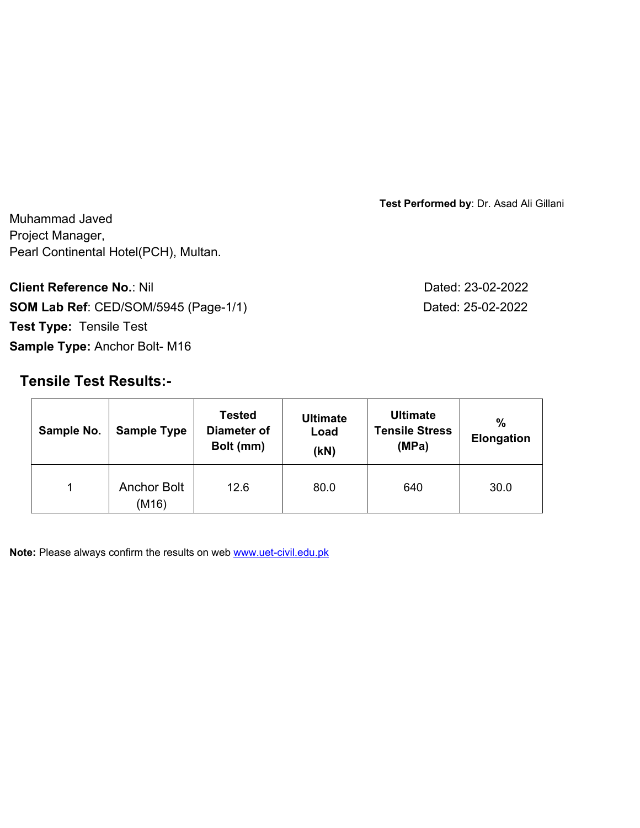**Test Performed by**: Dr. Asad Ali Gillani

Muhammad Javed Project Manager, Pearl Continental Hotel(PCH), Multan.

**Client Reference No.: Nil Client Reference No.: Nil SOM Lab Ref**: CED/SOM/5945 (Page-1/1) Dated: 25-02-2022 **Test Type:** Tensile Test **Sample Type:** Anchor Bolt- M16

# **Tensile Test Results:-**

Sample No. | Sample Type **Tested Diameter of Bolt (mm) Ultimate Load (kN) Ultimate Tensile Stress (MPa) % Elongation**  1 Anchor Bolt (M16) 12.6 | 80.0 | 640 | 30.0

**Note:** Please always confirm the results on web www.uet-civil.edu.pk